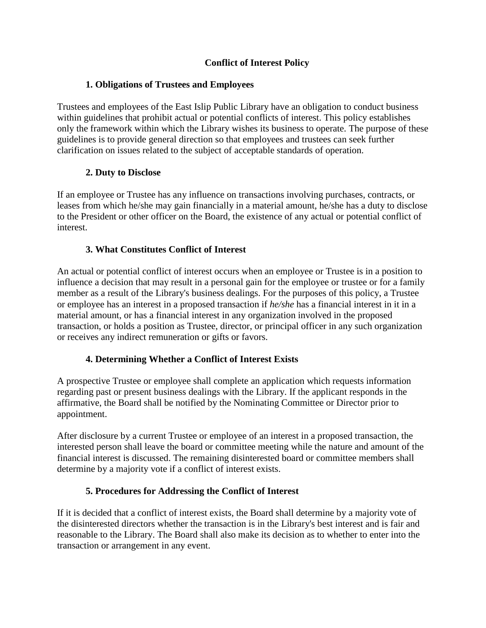# **Conflict of Interest Policy**

### **1. Obligations of Trustees and Employees**

Trustees and employees of the East Islip Public Library have an obligation to conduct business within guidelines that prohibit actual or potential conflicts of interest. This policy establishes only the framework within which the Library wishes its business to operate. The purpose of these guidelines is to provide general direction so that employees and trustees can seek further clarification on issues related to the subject of acceptable standards of operation.

# **2. Duty to Disclose**

If an employee or Trustee has any influence on transactions involving purchases, contracts, or leases from which he/she may gain financially in a material amount, he/she has a duty to disclose to the President or other officer on the Board, the existence of any actual or potential conflict of interest.

### **3. What Constitutes Conflict of Interest**

An actual or potential conflict of interest occurs when an employee or Trustee is in a position to influence a decision that may result in a personal gain for the employee or trustee or for a family member as a result of the Library's business dealings. For the purposes of this policy, a Trustee or employee has an interest in a proposed transaction if *he/she* has a financial interest in it in a material amount, or has a financial interest in any organization involved in the proposed transaction, or holds a position as Trustee, director, or principal officer in any such organization or receives any indirect remuneration or gifts or favors.

#### **4. Determining Whether a Conflict of Interest Exists**

A prospective Trustee or employee shall complete an application which requests information regarding past or present business dealings with the Library. If the applicant responds in the affirmative, the Board shall be notified by the Nominating Committee or Director prior to appointment.

After disclosure by a current Trustee or employee of an interest in a proposed transaction, the interested person shall leave the board or committee meeting while the nature and amount of the financial interest is discussed. The remaining disinterested board or committee members shall determine by a majority vote if a conflict of interest exists.

# **5. Procedures for Addressing the Conflict of Interest**

If it is decided that a conflict of interest exists, the Board shall determine by a majority vote of the disinterested directors whether the transaction is in the Library's best interest and is fair and reasonable to the Library. The Board shall also make its decision as to whether to enter into the transaction or arrangement in any event.